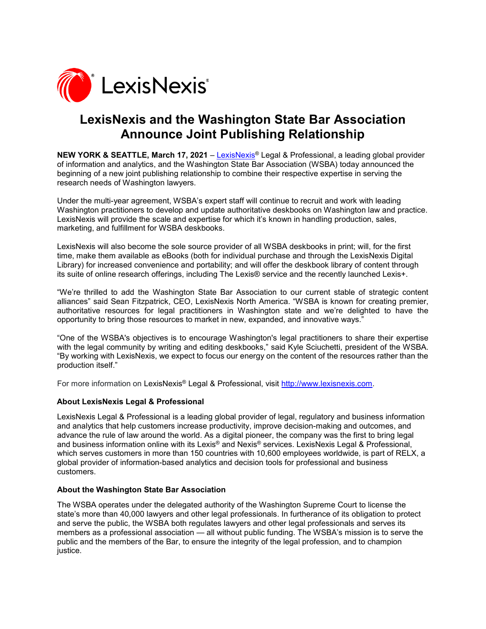

## **LexisNexis and the Washington State Bar Association Announce Joint Publishing Relationship**

**NEW YORK & SEATTLE, March 17, 2021** – [LexisNexis®](http://www.lexisnexis.com/) Legal & Professional, a leading global provider of information and analytics, and the Washington State Bar Association (WSBA) today announced the beginning of a new joint publishing relationship to combine their respective expertise in serving the research needs of Washington lawyers.

Under the multi-year agreement, WSBA's expert staff will continue to recruit and work with leading Washington practitioners to develop and update authoritative deskbooks on Washington law and practice. LexisNexis will provide the scale and expertise for which it's known in handling production, sales, marketing, and fulfillment for WSBA deskbooks.

LexisNexis will also become the sole source provider of all WSBA deskbooks in print; will, for the first time, make them available as eBooks (both for individual purchase and through the LexisNexis Digital Library) for increased convenience and portability; and will offer the deskbook library of content through its suite of online research offerings, including The Lexis® service and the recently launched Lexis+.

"We're thrilled to add the Washington State Bar Association to our current stable of strategic content alliances" said Sean Fitzpatrick, CEO, LexisNexis North America. "WSBA is known for creating premier, authoritative resources for legal practitioners in Washington state and we're delighted to have the opportunity to bring those resources to market in new, expanded, and innovative ways."

"One of the WSBA's objectives is to encourage Washington's legal practitioners to share their expertise with the legal community by writing and editing deskbooks," said Kyle Sciuchetti, president of the WSBA. "By working with LexisNexis, we expect to focus our energy on the content of the resources rather than the production itself."

For more information on LexisNexis® Legal & Professional, visit [http://www.lexisnexis.com.](http://www.lexisnexis.com/)

## **About LexisNexis Legal & Professional**

LexisNexis Legal & Professional is a leading global provider of legal, regulatory and business information and analytics that help customers increase productivity, improve decision-making and outcomes, and advance the rule of law around the world. As a digital pioneer, the company was the first to bring legal and business information online with its Lexis® and Nexis® services. LexisNexis Legal & Professional, which serves customers in more than 150 countries with 10,600 employees worldwide, is part of RELX, a global provider of information-based analytics and decision tools for professional and business customers.

## **About the Washington State Bar Association**

The WSBA operates under the delegated authority of the Washington Supreme Court to license the state's more than 40,000 lawyers and other legal professionals. In furtherance of its obligation to protect and serve the public, the WSBA both regulates lawyers and other legal professionals and serves its members as a professional association — all without public funding. The WSBA's mission is to serve the public and the members of the Bar, to ensure the integrity of the legal profession, and to champion justice.